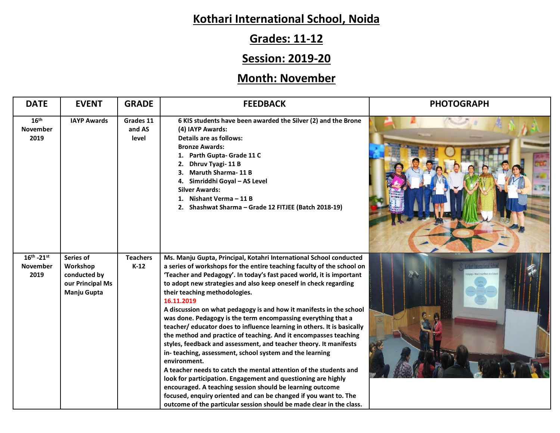# **Kothari International School, Noida**

# **Grades: 11-12**

## **Session: 2019-20**

## **Month: November**

| <b>DATE</b>                                 | <b>EVENT</b>                                                             | <b>GRADE</b>                 | <b>FEEDBACK</b>                                                                                                                                                                                                                                                                                                                                                                                                                                                                                                                                                                                                                                                                                                                                                                                                                                                                                                                                                                                                                                                                                                               | <b>PHOTOGRAPH</b> |
|---------------------------------------------|--------------------------------------------------------------------------|------------------------------|-------------------------------------------------------------------------------------------------------------------------------------------------------------------------------------------------------------------------------------------------------------------------------------------------------------------------------------------------------------------------------------------------------------------------------------------------------------------------------------------------------------------------------------------------------------------------------------------------------------------------------------------------------------------------------------------------------------------------------------------------------------------------------------------------------------------------------------------------------------------------------------------------------------------------------------------------------------------------------------------------------------------------------------------------------------------------------------------------------------------------------|-------------------|
| 16 <sup>th</sup><br><b>November</b><br>2019 | <b>IAYP Awards</b>                                                       | Grades 11<br>and AS<br>level | 6 KIS students have been awarded the Silver (2) and the Brone<br>(4) IAYP Awards:<br>Details are as follows:<br><b>Bronze Awards:</b><br>Parth Gupta- Grade 11 C<br>1.<br>Dhruv Tyagi-11B<br>2.<br><b>Maruth Sharma-11B</b><br>3.<br>Simriddhi Goyal - AS Level<br>4.<br><b>Silver Awards:</b><br>Nishant Verma - 11 B<br>1.<br>2. Shashwat Sharma - Grade 12 FITJEE (Batch 2018-19)                                                                                                                                                                                                                                                                                                                                                                                                                                                                                                                                                                                                                                                                                                                                          |                   |
| $16^{th}$ -21st<br><b>November</b><br>2019  | Series of<br>Workshop<br>conducted by<br>our Principal Ms<br>Manju Gupta | <b>Teachers</b><br>$K-12$    | Ms. Manju Gupta, Principal, Kotahri International School conducted<br>a series of workshops for the entire teaching faculty of the school on<br>'Teacher and Pedagogy'. In today's fast paced world, it is important<br>to adopt new strategies and also keep oneself in check regarding<br>their teaching methodologies.<br>16.11.2019<br>A discussion on what pedagogy is and how it manifests in the school<br>was done. Pedagogy is the term encompassing everything that a<br>teacher/ educator does to influence learning in others. It is basically<br>the method and practice of teaching. And it encompasses teaching<br>styles, feedback and assessment, and teacher theory. It manifests<br>in-teaching, assessment, school system and the learning<br>environment.<br>A teacher needs to catch the mental attention of the students and<br>look for participation. Engagement and questioning are highly<br>encouraged. A teaching session should be learning outcome<br>focused, enquiry oriented and can be changed if you want to. The<br>outcome of the particular session should be made clear in the class. |                   |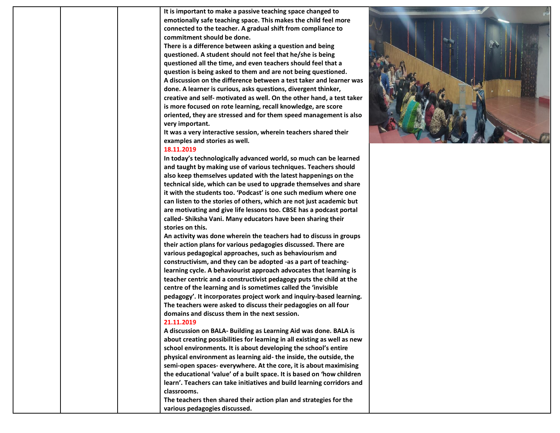**It is important to make a passive teaching space changed to emotionally safe teaching space. This makes the child feel more connected to the teacher. A gradual shift from compliance to commitment should be done.** 

**There is a difference between asking a question and being questioned. A student should not feel that he/she is being questioned all the time, and even teachers should feel that a question is being asked to them and are not being questioned. A discussion on the difference between a test taker and learner was done. A learner is curious, asks questions, divergent thinker, creative and self- motivated as well. On the other hand, a test taker is more focused on rote learning, recall knowledge, are score oriented, they are stressed and for them speed management is also very important.** 

**It was a very interactive session, wherein teachers shared their examples and stories as well.**

#### **18.11.2019**

**In today's technologically advanced world, so much can be learned and taught by making use of various techniques. Teachers should also keep themselves updated with the latest happenings on the technical side, which can be used to upgrade themselves and share it with the students too. 'Podcast' is one such medium where one can listen to the stories of others, which are not just academic but are motivating and give life lessons too. CBSE has a podcast portal called- Shiksha Vani. Many educators have been sharing their stories on this.** 

**An activity was done wherein the teachers had to discuss in groups their action plans for various pedagogies discussed. There are various pedagogical approaches, such as behaviourism and constructivism, and they can be adopted -as a part of teachinglearning cycle. A behaviourist approach advocates that learning is teacher centric and a constructivist pedagogy puts the child at the centre of the learning and is sometimes called the 'invisible pedagogy'. It incorporates project work and inquiry-based learning. The teachers were asked to discuss their pedagogies on all four domains and discuss them in the next session.** 

#### **21.11.2019**

**A discussion on BALA- Building as Learning Aid was done. BALA is about creating possibilities for learning in all existing as well as new school environments. It is about developing the school's entire physical environment as learning aid- the inside, the outside, the semi-open spaces- everywhere. At the core, it is about maximising the educational 'value' of a built space. It is based on 'how children learn'. Teachers can take initiatives and build learning corridors and classrooms.**

**The teachers then shared their action plan and strategies for the various pedagogies discussed.** 

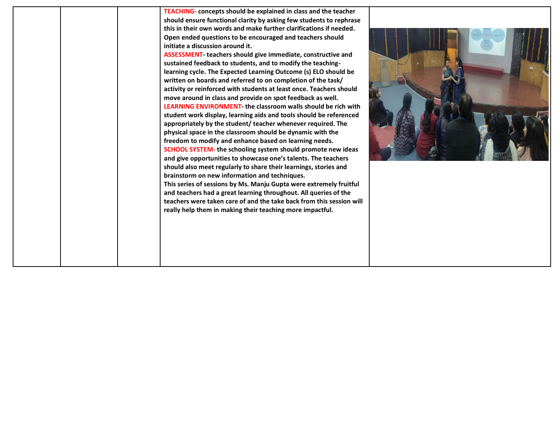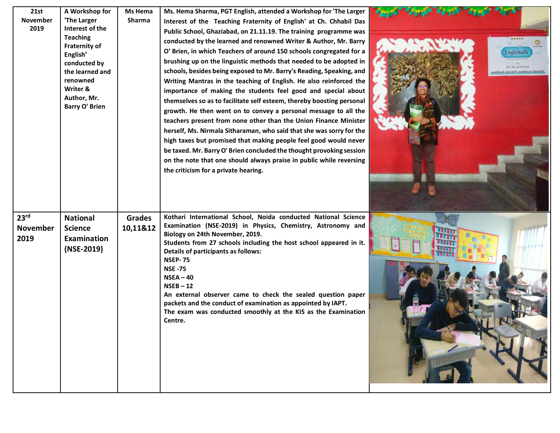| 21st<br>November<br>2019                    | A Workshop for<br>'The Larger<br>Interest of the<br><b>Teaching</b><br><b>Fraternity of</b><br>English'<br>conducted by<br>the learned and<br>renowned<br>Writer &<br>Author, Mr.<br><b>Barry O' Brien</b> | Ms Hema<br>Sharma         | Ms. Hema Sharma, PGT English, attended a Workshop for 'The Larger<br>Interest of the Teaching Fraternity of English' at Ch. Chhabil Das<br>Public School, Ghaziabad, on 21.11.19. The training programme was<br>conducted by the learned and renowned Writer & Author, Mr. Barry<br>O' Brien, in which Teachers of around 150 schools congregated for a<br>brushing up on the linguistic methods that needed to be adopted in<br>schools, besides being exposed to Mr. Barry's Reading, Speaking, and<br>Writing Mantras in the teaching of English. He also reinforced the<br>importance of making the students feel good and special about<br>themselves so as to facilitate self esteem, thereby boosting personal<br>growth. He then went on to convey a personal message to all the<br>teachers present from none other than the Union Finance Minister<br>herself, Ms. Nirmala Sitharaman, who said that she was sorry for the<br>high taxes but promised that making people feel good would never<br>be taxed. Mr. Barry O' Brien concluded the thought provoking session<br>on the note that one should always praise in public while reversing<br>the criticism for a private hearing. | Englishville<br>Mr. Barry O'Brier<br><b>HE GLAS CALCULTER AND GLASS CALCULE</b> |
|---------------------------------------------|------------------------------------------------------------------------------------------------------------------------------------------------------------------------------------------------------------|---------------------------|-------------------------------------------------------------------------------------------------------------------------------------------------------------------------------------------------------------------------------------------------------------------------------------------------------------------------------------------------------------------------------------------------------------------------------------------------------------------------------------------------------------------------------------------------------------------------------------------------------------------------------------------------------------------------------------------------------------------------------------------------------------------------------------------------------------------------------------------------------------------------------------------------------------------------------------------------------------------------------------------------------------------------------------------------------------------------------------------------------------------------------------------------------------------------------------------------|---------------------------------------------------------------------------------|
| 23 <sup>rd</sup><br><b>November</b><br>2019 | <b>National</b><br><b>Science</b><br>Examination<br>(NSE-2019)                                                                                                                                             | <b>Grades</b><br>10,11&12 | Kothari International School, Noida conducted National Science<br>Examination (NSE-2019) in Physics, Chemistry, Astronomy and<br>Biology on 24th November, 2019.<br>Students from 27 schools including the host school appeared in it.<br>Details of participants as follows:<br><b>NSEP-75</b><br><b>NSE -75</b><br>$NSEA - 40$<br>$NSEB - 12$<br>An external observer came to check the sealed question paper<br>packets and the conduct of examination as appointed by IAPT.<br>The exam was conducted smoothly at the KIS as the Examination<br>Centre.                                                                                                                                                                                                                                                                                                                                                                                                                                                                                                                                                                                                                                     |                                                                                 |